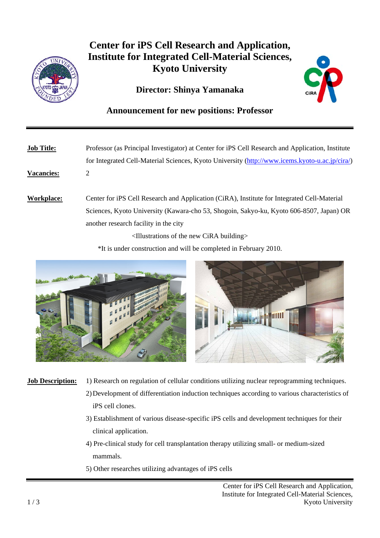

## **Center for iPS Cell Research and Application, Institute for Integrated Cell-Material Sciences, Kyoto University**

## **Director: Shinya Yamanaka**



## **Announcement for new positions: Professor**

**Job Title:** Professor (as Principal Investigator) at Center for iPS Cell Research and Application, Institute for Integrated Cell-Material Sciences, Kyoto University (http://www.icems.kyoto-u.ac.jp/cira/) **Vacancies:** 2 **Workplace:** Center for iPS Cell Research and Application (CiRA), Institute for Integrated Cell-Material

 Sciences, Kyoto University (Kawara-cho 53, Shogoin, Sakyo-ku, Kyoto 606-8507, Japan) OR another research facility in the city

<Illustrations of the new CiRA building>

\*It is under construction and will be completed in February 2010.



- **Job Description:** 1) Research on regulation of cellular conditions utilizing nuclear reprogramming techniques.
	- 2) Development of differentiation induction techniques according to various characteristics of iPS cell clones.
	- 3) Establishment of various disease-specific iPS cells and development techniques for their clinical application.
	- 4) Pre-clinical study for cell transplantation therapy utilizing small- or medium-sized mammals.
	- 5) Other researches utilizing advantages of iPS cells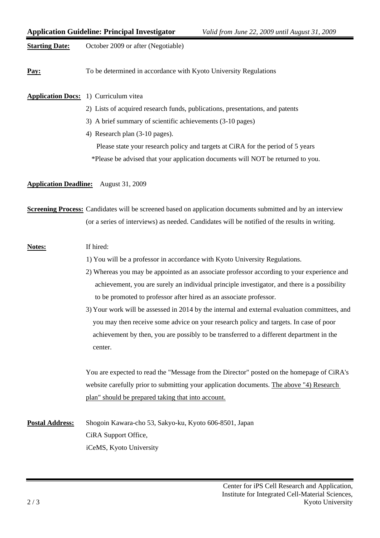|                                                 | <b>Application Guideline: Principal Investigator</b><br>Valid from June 22, 2009 until August 31, 2009                                                                                                              |
|-------------------------------------------------|---------------------------------------------------------------------------------------------------------------------------------------------------------------------------------------------------------------------|
| <b>Starting Date:</b>                           | October 2009 or after (Negotiable)                                                                                                                                                                                  |
| Pay:                                            | To be determined in accordance with Kyoto University Regulations                                                                                                                                                    |
|                                                 | <b>Application Docs:</b> 1) Curriculum vitea                                                                                                                                                                        |
|                                                 | 2) Lists of acquired research funds, publications, presentations, and patents                                                                                                                                       |
|                                                 | 3) A brief summary of scientific achievements (3-10 pages)                                                                                                                                                          |
|                                                 | 4) Research plan (3-10 pages).                                                                                                                                                                                      |
|                                                 | Please state your research policy and targets at CiRA for the period of 5 years                                                                                                                                     |
|                                                 | *Please be advised that your application documents will NOT be returned to you.                                                                                                                                     |
| <b>Application Deadline:</b><br>August 31, 2009 |                                                                                                                                                                                                                     |
|                                                 | <b>Screening Process:</b> Candidates will be screened based on application documents submitted and by an interview<br>(or a series of interviews) as needed. Candidates will be notified of the results in writing. |
| <b>Notes:</b>                                   | If hired:                                                                                                                                                                                                           |
|                                                 | 1) You will be a professor in accordance with Kyoto University Regulations.                                                                                                                                         |
|                                                 | 2) Whereas you may be appointed as an associate professor according to your experience and                                                                                                                          |
|                                                 | achievement, you are surely an individual principle investigator, and there is a possibility                                                                                                                        |
|                                                 | to be promoted to professor after hired as an associate professor.                                                                                                                                                  |
|                                                 | 3) Your work will be assessed in 2014 by the internal and external evaluation committees, and                                                                                                                       |
|                                                 | you may then receive some advice on your research policy and targets. In case of poor                                                                                                                               |
|                                                 | achievement by then, you are possibly to be transferred to a different department in the<br>center.                                                                                                                 |
|                                                 | You are expected to read the "Message from the Director" posted on the homepage of CiRA's                                                                                                                           |
|                                                 | website carefully prior to submitting your application documents. The above "4) Research                                                                                                                            |
|                                                 | plan" should be prepared taking that into account.                                                                                                                                                                  |
| <b>Postal Address:</b>                          | Shogoin Kawara-cho 53, Sakyo-ku, Kyoto 606-8501, Japan                                                                                                                                                              |
|                                                 | CiRA Support Office,                                                                                                                                                                                                |
|                                                 | iCeMS, Kyoto University                                                                                                                                                                                             |
|                                                 |                                                                                                                                                                                                                     |